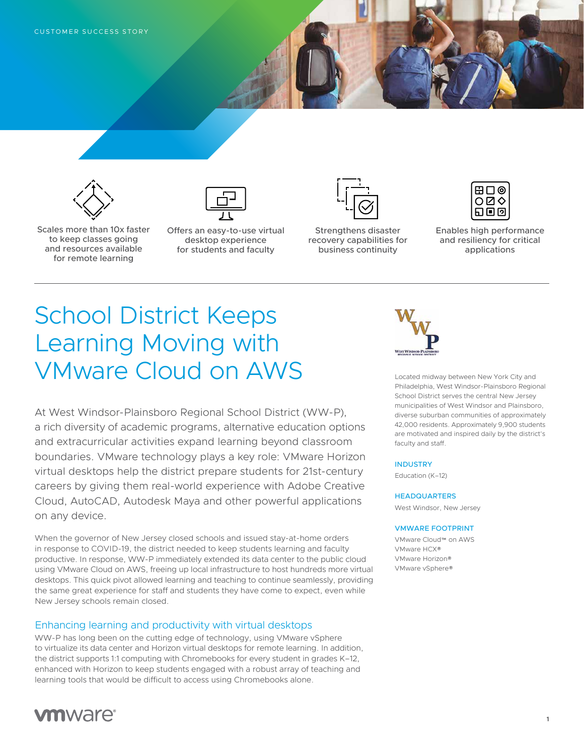



Scales more than 10x faster to keep classes going and resources available for remote learning

Offers an easy-to-use virtual desktop experience for students and faculty



Strengthens disaster recovery capabilities for business continuity



Enables high performance and resiliency for critical applications

# School District Keeps Learning Moving with VMware Cloud on AWS

At West Windsor-Plainsboro Regional School District (WW-P), a rich diversity of academic programs, alternative education options and extracurricular activities expand learning beyond classroom boundaries. VMware technology plays a key role: VMware Horizon virtual desktops help the district prepare students for 21st-century careers by giving them real-world experience with Adobe Creative Cloud, AutoCAD, Autodesk Maya and other powerful applications on any device.

When the governor of New Jersey closed schools and issued stay-at-home orders in response to COVID-19, the district needed to keep students learning and faculty productive. In response, WW-P immediately extended its data center to the public cloud using VMware Cloud on AWS, freeing up local infrastructure to host hundreds more virtual desktops. This quick pivot allowed learning and teaching to continue seamlessly, providing the same great experience for staff and students they have come to expect, even while New Jersey schools remain closed.

## Enhancing learning and productivity with virtual desktops

WW-P has long been on the cutting edge of technology, using VMware vSphere to virtualize its data center and Horizon virtual desktops for remote learning. In addition, the district supports 1:1 computing with Chromebooks for every student in grades K–12, enhanced with Horizon to keep students engaged with a robust array of teaching and learning tools that would be difficult to access using Chromebooks alone.



Located midway between New York City and Philadelphia, West Windsor-Plainsboro Regional School District serves the central New Jersey municipalities of West Windsor and Plainsboro, diverse suburban communities of approximately 42,000 residents. Approximately 9,900 students are motivated and inspired daily by the district's faculty and staff.

#### INDUSTRY

Education (K–12)

#### **HEADQUARTERS**

West Windsor, New Jersey

#### VMWARE FOOTPRINT

VMware Cloud™ on AWS VMware HCX® VMware Horizon® VMware vSphere®

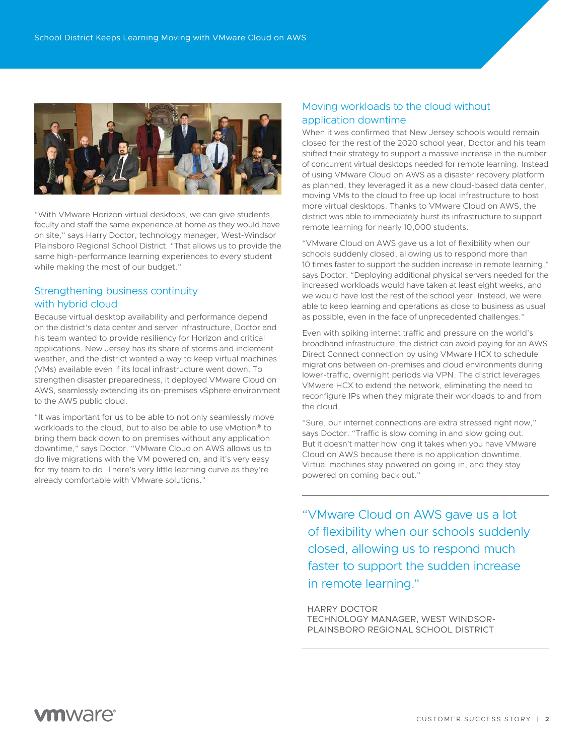

"With VMware Horizon virtual desktops, we can give students, faculty and staff the same experience at home as they would have on site," says Harry Doctor, technology manager, West-Windsor Plainsboro Regional School District. "That allows us to provide the same high-performance learning experiences to every student while making the most of our budget."

## Strengthening business continuity with hybrid cloud

Because virtual desktop availability and performance depend on the district's data center and server infrastructure, Doctor and his team wanted to provide resiliency for Horizon and critical applications. New Jersey has its share of storms and inclement weather, and the district wanted a way to keep virtual machines (VMs) available even if its local infrastructure went down. To strengthen disaster preparedness, it deployed VMware Cloud on AWS, seamlessly extending its on-premises vSphere environment to the AWS public cloud.

"It was important for us to be able to not only seamlessly move workloads to the cloud, but to also be able to use vMotion® to bring them back down to on premises without any application downtime," says Doctor. "VMware Cloud on AWS allows us to do live migrations with the VM powered on, and it's very easy for my team to do. There's very little learning curve as they're already comfortable with VMware solutions."

## Moving workloads to the cloud without application downtime

When it was confirmed that New Jersey schools would remain closed for the rest of the 2020 school year, Doctor and his team shifted their strategy to support a massive increase in the number of concurrent virtual desktops needed for remote learning. Instead of using VMware Cloud on AWS as a disaster recovery platform as planned, they leveraged it as a new cloud-based data center, moving VMs to the cloud to free up local infrastructure to host more virtual desktops. Thanks to VMware Cloud on AWS, the district was able to immediately burst its infrastructure to support remote learning for nearly 10,000 students.

"VMware Cloud on AWS gave us a lot of flexibility when our schools suddenly closed, allowing us to respond more than 10 times faster to support the sudden increase in remote learning," says Doctor. "Deploying additional physical servers needed for the increased workloads would have taken at least eight weeks, and we would have lost the rest of the school year. Instead, we were able to keep learning and operations as close to business as usual as possible, even in the face of unprecedented challenges."

Even with spiking internet traffic and pressure on the world's broadband infrastructure, the district can avoid paying for an AWS Direct Connect connection by using VMware HCX to schedule migrations between on-premises and cloud environments during lower-traffic, overnight periods via VPN. The district leverages VMware HCX to extend the network, eliminating the need to reconfigure IPs when they migrate their workloads to and from the cloud.

"Sure, our internet connections are extra stressed right now," says Doctor. "Traffic is slow coming in and slow going out. But it doesn't matter how long it takes when you have VMware Cloud on AWS because there is no application downtime. Virtual machines stay powered on going in, and they stay powered on coming back out."

"VMware Cloud on AWS gave us a lot of flexibility when our schools suddenly closed, allowing us to respond much faster to support the sudden increase in remote learning."

HARRY DOCTOR TECHNOLOGY MANAGER, WEST WINDSOR-PLAINSBORO REGIONAL SCHOOL DISTRICT